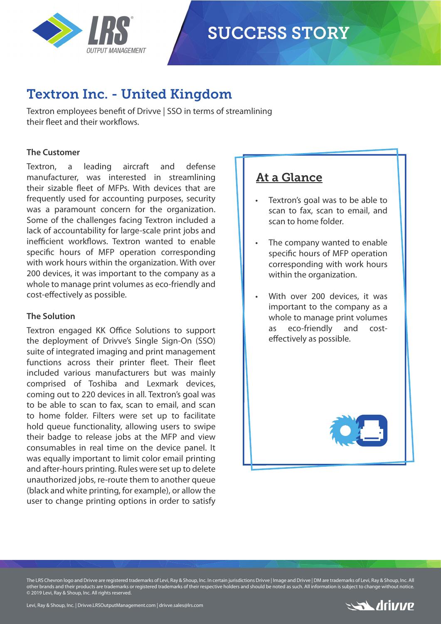

## **SUCCESS STORY**

## Textron Inc. - United Kingdom

Textron employees benefit of Drivye | SSO in terms of streamlining their fleet and their workflows.

#### **The Customer**

Textron, a leading aircraft and defense manufacturer, was interested in streamlining their sizable fleet of MFPs. With devices that are frequently used for accounting purposes, security was a paramount concern for the organization. Some of the challenges facing Textron included a lack of accountability for large-scale print jobs and inefficient workflows. Textron wanted to enable specific hours of MFP operation corresponding with work hours within the organization. With over 200 devices, it was important to the company as a whole to manage print volumes as eco-friendly and cost-effectively as possible.

### **The Solution**

Textron engaged KK Office Solutions to support the deployment of Drivve's Single Sign-On (SSO) suite of integrated imaging and print management functions across their printer fleet. Their fleet included various manufacturers but was mainly comprised of Toshiba and Lexmark devices, coming out to 220 devices in all. Textron's goal was to be able to scan to fax, scan to email, and scan to home folder. Filters were set up to facilitate hold queue functionality, allowing users to swipe their badge to release jobs at the MFP and view consumables in real time on the device panel. It was equally important to limit color email printing and after-hours printing. Rules were set up to delete unauthorized jobs, re-route them to another queue (black and white printing, for example), or allow the user to change printing options in order to satisfy

### At a Glance

- Textron's goal was to be able to scan to fax, scan to email, and scan to home folder.
- The company wanted to enable specific hours of MFP operation corresponding with work hours within the organization.
- With over 200 devices, it was important to the company as a whole to manage print volumes as eco-friendly and costeffectively as possible.



The LRS Chevron logo and Drivve are registered trademarks of Levi, Ray & Shoup, Inc. In certain jurisdictions Drivve | Image and Drivve | DM are trademarks of Levi, Ray & Shoup, Inc. All other brands and their products are trademarks or registered trademarks of their respective holders and should be noted as such. All information is subject to change without notice. © 2019 Levi, Ray & Shoup, Inc. All rights reserved.